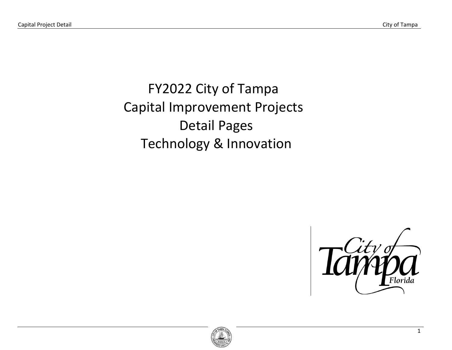FY2022 City of Tampa Capital Improvement Projects Detail Pages Technology & Innovation



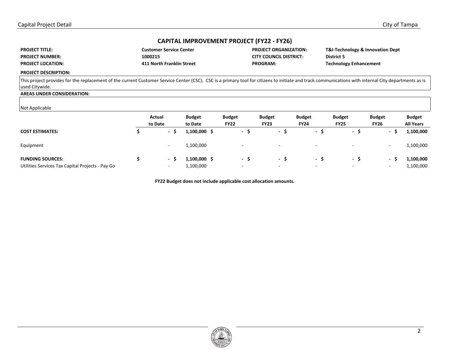| <b>PROJECT TITLE:</b>    | <b>Customer Service Center</b> | <b>PROJECT ORGANIZATION:</b> | <b>T&amp;I-Technology &amp; Innovation Dept</b> |
|--------------------------|--------------------------------|------------------------------|-------------------------------------------------|
| <b>PROJECT NUMBER:</b>   | 1000215                        | CITY COUNCIL DISTRICT:       | <b>District 5</b>                               |
| <b>PROJECT LOCATION:</b> | 411 North Franklin Street      | <b>PROGRAM:</b>              | <b>Technology Enhancement</b>                   |

#### **PROJECT DESCRIPTION:**

This project provides for the replacement of the current Customer Service Center (CSC). CSC is a primary tool for citizens to initiate and track communications with internal City departments as is used Citywide.

# **AREAS UNDER CONSIDERATION:**

## Not Applicable

|                                                                             | Actual<br>to Date                                    | <b>Budget</b><br>to Date  | <b>Budget</b><br><b>FY22</b> |          | <b>Budget</b><br><b>FY23</b>    | <b>Budget</b><br><b>FY24</b>    | <b>Budget</b><br><b>FY25</b> | <b>Budget</b><br><b>FY26</b> | <b>Budget</b><br><b>All Years</b> |
|-----------------------------------------------------------------------------|------------------------------------------------------|---------------------------|------------------------------|----------|---------------------------------|---------------------------------|------------------------------|------------------------------|-----------------------------------|
| <b>COST ESTIMATES:</b>                                                      | $\overline{\phantom{a}}$                             | 1,100,000 \$              |                              | - S      | $\sim$<br>- 3                   | $\overline{\phantom{a}}$        | - >                          |                              | 1,100,000                         |
| Equipment                                                                   | $\overline{\phantom{0}}$                             | 1,100,000                 |                              | -        | $\overline{\phantom{0}}$        | $\overline{\phantom{a}}$        |                              | ۰                            | 1,100,000                         |
| <b>FUNDING SOURCES:</b><br>Utilities Services Tax Capital Projects - Pay Go | $\overline{\phantom{a}}$<br>$\overline{\phantom{a}}$ | 1,100,000 \$<br>1,100,000 |                              | - S<br>- | - 5<br>$\overline{\phantom{a}}$ | - 5<br>$\overline{\phantom{a}}$ | - 5                          | -                            | 1,100,000<br>1,100,000            |

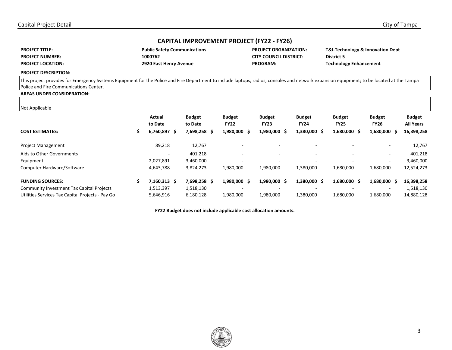| <b>PROJECT TITLE:</b>    | <b>Public Safety Comn</b> |
|--------------------------|---------------------------|
| <b>PROJECT NUMBER:</b>   | 1000762                   |
| <b>PROJECT LOCATION:</b> | 2920 East Henry Av        |

**PROJECT:** PROJECT: **PRODUCIL DISTRICT:** District 5 **PROGRAM:** 29 **PROGRAM:** Technology Enhancement

**PROJECT ORGANIZATION:** T&I-Technology & Innovation Dept **PROJECT ORGANIZATION:** T&I-Technology & Innovation Dept

#### **PROJECT DESCRIPTION:**

This project provides for Emergency Systems Equipment for the Police and Fire Department to include laptops, radios, consoles and network expansion equipment; to be located at the Tampa Police and Fire Communications Center.

#### **AREAS UNDER CONSIDERATION:**

#### Not Applicable

|                                                  | Actual<br>to Date        | <b>Budget</b><br>to Date | <b>Budget</b><br><b>FY22</b> | <b>Budget</b><br><b>FY23</b> | <b>Budget</b><br><b>FY24</b> | <b>Budget</b><br><b>FY25</b> | <b>Budget</b><br><b>FY26</b> | <b>Budget</b><br><b>All Years</b> |
|--------------------------------------------------|--------------------------|--------------------------|------------------------------|------------------------------|------------------------------|------------------------------|------------------------------|-----------------------------------|
| <b>COST ESTIMATES:</b>                           | 6,760,897<br>S           | 7,698,258 \$             | 1,980,000 \$                 | 1,980,000 \$                 | 1,380,000<br>-S              | 1,680,000 \$                 | 1,680,000 \$                 | 16,398,258                        |
| <b>Project Management</b>                        | 89,218                   | 12,767                   |                              | -                            |                              |                              | $\overline{\phantom{a}}$     | 12,767                            |
| Aids to Other Governments                        | $\overline{\phantom{0}}$ | 401,218                  | $\overline{\phantom{0}}$     | $\overline{\phantom{0}}$     | $\overline{\phantom{a}}$     |                              | $\overline{\phantom{a}}$     | 401,218                           |
| Equipment                                        | 2,027,891                | 3,460,000                | -                            | $\overline{a}$               | $\overline{\phantom{a}}$     |                              | $\overline{\phantom{a}}$     | 3,460,000                         |
| Computer Hardware/Software                       | 4,643,788                | 3,824,273                | 1,980,000                    | 1,980,000                    | 1,380,000                    | 1,680,000                    | 1,680,000                    | 12,524,273                        |
| <b>FUNDING SOURCES:</b>                          | $7,160,313$ \$           | 7,698,258 \$             | 1,980,000 \$                 | 1,980,000 \$                 | 1,380,000<br>-S              | 1,680,000 \$                 | 1,680,000 \$                 | 16,398,258                        |
| <b>Community Investment Tax Capital Projects</b> | 1,513,397                | 1,518,130                |                              | -                            |                              |                              |                              | 1,518,130                         |
| Utilities Services Tax Capital Projects - Pay Go | 5,646,916                | 6,180,128                | 1,980,000                    | 1,980,000                    | 1,380,000                    | 1,680,000                    | 1,680,000                    | 14,880,128                        |

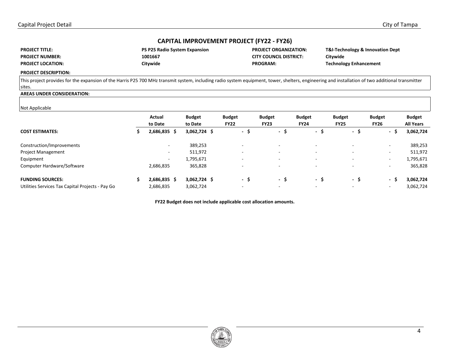| <b>PROJECT TITLE:</b>    | <b>PS P25 Radio System Expansion</b> | <b>PROJECT ORGANIZATION:</b>  | T&I-Technology & Innovation Dept |
|--------------------------|--------------------------------------|-------------------------------|----------------------------------|
| <b>PROJECT NUMBER:</b>   | 1001667                              | <b>CITY COUNCIL DISTRICT:</b> | Citywide                         |
| <b>PROJECT LOCATION:</b> | Citywide                             | <b>PROGRAM:</b>               | <b>Technology Enhancement</b>    |

**PROJECT DESCRIPTION:** 

This project provides for the expansion of the Harris P25 700 MHz transmit system, including radio system equipment, tower, shelters, engineering and installation of two additional transmitter sites.

## **AREAS UNDER CONSIDERATION:**

#### Not Applicable

| .<br>.                                           |                          |                          |                              |                              |                              |                              |                                 |                                   |
|--------------------------------------------------|--------------------------|--------------------------|------------------------------|------------------------------|------------------------------|------------------------------|---------------------------------|-----------------------------------|
|                                                  | Actual<br>to Date        | <b>Budget</b><br>to Date | <b>Budget</b><br><b>FY22</b> | <b>Budget</b><br><b>FY23</b> | <b>Budget</b><br><b>FY24</b> | <b>Budget</b><br><b>FY25</b> | <b>Budget</b><br><b>FY26</b>    | <b>Budget</b><br><b>All Years</b> |
| <b>COST ESTIMATES:</b>                           | $2,686,835$ \$           | $3,062,724$ \$           | - \$                         | $\sim$<br>⋗                  | .S<br>$\sim$                 | - \$                         | -\$<br>$\overline{\phantom{a}}$ | 3,062,724                         |
| Construction/Improvements                        | $\overline{\phantom{a}}$ | 389,253                  | $\overline{\phantom{a}}$     | $\overline{\phantom{0}}$     | $\overline{\phantom{a}}$     | $\overline{a}$               | $\sim$                          | 389,253                           |
| <b>Project Management</b>                        | $\overline{\phantom{a}}$ | 511,972                  |                              |                              |                              | $\overline{a}$               | $\overline{\phantom{a}}$        | 511,972                           |
| Equipment                                        | $\overline{\phantom{a}}$ | 1,795,671                | -                            |                              | $\overline{\phantom{a}}$     | $\overline{\phantom{a}}$     | $\sim$                          | 1,795,671                         |
| Computer Hardware/Software                       | 2,686,835                | 365,828                  | $\overline{\phantom{a}}$     |                              |                              |                              | $\overline{\phantom{a}}$        | 365,828                           |
| <b>FUNDING SOURCES:</b>                          | $2,686,835$ \$           | $3,062,724$ \$           | - \$                         | -S<br>$\sim$                 | - S                          | - \$                         | $\sim$                          | 3,062,724                         |
| Utilities Services Tax Capital Projects - Pay Go | 2,686,835                | 3,062,724                | $\overline{\phantom{a}}$     |                              |                              |                              | $\overline{\phantom{a}}$        | 3,062,724                         |

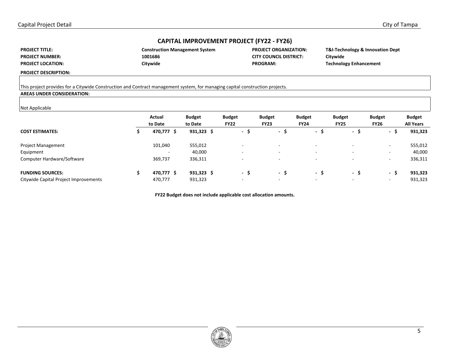| <b>PROJECT TITLE:</b>    |
|--------------------------|
| <b>PROJECT NUMBER:</b>   |
| <b>PROJECT LOCATION:</b> |

| <b>Construction Management System</b> |  |
|---------------------------------------|--|
| 1001686                               |  |
| Citywide                              |  |

**PROJECT ORGANIZATION: CITY COUNCIL DISTRICT:** PROGRAM:

**T&I-Technology & Innovation Dept Citywide Technology Enhancement** 

**PROJECT DESCRIPTION:** 

## This project provides for a Citywide Construction and Contract management system, for managing capital construction projects.

## **AREAS UNDER CONSIDERATION:**

#### Not Applicable

| .                                     | Actual<br>to Date        | <b>Budget</b><br>to Date | <b>Budget</b><br><b>FY22</b> |                          | <b>Budget</b><br><b>FY23</b> | <b>Budget</b><br><b>FY24</b> | <b>Budget</b><br><b>FY25</b> | <b>Budget</b><br><b>FY26</b> | <b>Budget</b><br><b>All Years</b> |
|---------------------------------------|--------------------------|--------------------------|------------------------------|--------------------------|------------------------------|------------------------------|------------------------------|------------------------------|-----------------------------------|
| <b>COST ESTIMATES:</b>                | 470,777 \$               | $931,323$ \$             |                              | - \$                     | .S<br>$\sim$                 | - 5                          | - \$                         | - \$                         | 931,323                           |
| Project Management                    | 101,040                  | 555,012                  |                              |                          | $\overline{\phantom{0}}$     | $\overline{\phantom{a}}$     |                              | $\overline{\phantom{0}}$     | 555,012                           |
| Equipment                             | $\overline{\phantom{0}}$ | 40,000                   |                              | $\overline{\phantom{a}}$ | -                            | $\overline{\phantom{a}}$     | $\overline{\phantom{0}}$     | $\overline{\phantom{0}}$     | 40,000                            |
| Computer Hardware/Software            | 369,737                  | 336,311                  |                              |                          | $\overline{\phantom{0}}$     | $\overline{\phantom{a}}$     |                              | $\overline{\phantom{0}}$     | 336,311                           |
| <b>FUNDING SOURCES:</b>               | 470,777 \$               | $931,323$ \$             |                              | - \$                     | - \$                         | - S                          | - \$                         | - \$                         | 931,323                           |
| Citywide Capital Project Improvements | 470,777                  | 931,323                  |                              | $\overline{\phantom{a}}$ | ۰                            | $\overline{\phantom{a}}$     |                              | $\overline{\phantom{0}}$     | 931,323                           |

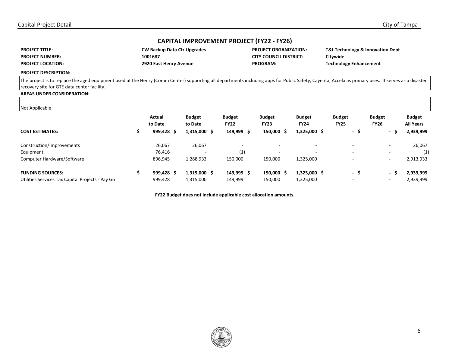| <b>PROJECT TITLE:</b>    | <b>CW Backup Data Ctr Upgrades</b> |
|--------------------------|------------------------------------|
| <b>PROJECT NUMBER:</b>   | 1001687                            |
| <b>PROJECT LOCATION:</b> | 2920 East Henry Avenue             |

**PROJECT:** CITY COUNCIL DISTRICT: Citywide **PROGRAM: PROGRAM: PROGRAM: PROGRAM: PROGRAM: PROGRAM: PROGRAM: PROGRAM: PROGRAM: PROGRAM: PROGRAM: PROGRAM: PROGRAM: PROGRAM: PROGRAM: PROGRAM: PROGRAM: PROGRAM: PROGRAM: PROGRAM: P** 

**PROJECT ORGANIZATION:** T&I-Technology & Innovation Dept

#### **PROJECT DESCRIPTION:**

The project is to replace the aged equipment used at the Henry (Comm Center) supporting all departments including apps for Public Safety, Cayenta, Accela as primary uses. It serves as a disaster recovery site for GTE data center facility.

## **AREAS UNDER CONSIDERATION:**

#### Not Applicable

| Actual<br>to Date | <b>Budget</b><br>to Date | <b>Budget</b><br><b>FY22</b> | <b>Budget</b><br><b>FY23</b> | <b>Budget</b><br><b>FY24</b> | <b>Budget</b><br><b>FY25</b> | <b>Budget</b><br><b>FY26</b> | <b>Budget</b><br><b>All Years</b> |
|-------------------|--------------------------|------------------------------|------------------------------|------------------------------|------------------------------|------------------------------|-----------------------------------|
| 999,428<br>-S     |                          | 149,999 \$                   | 150,000 \$                   | 1,325,000 \$                 | - \$                         | $\overline{\phantom{0}}$     | 2,939,999                         |
| 26,067            | 26,067                   |                              |                              | $\overline{\phantom{a}}$     |                              | $\overline{\phantom{a}}$     | 26,067                            |
| 76,416            |                          | (1)                          | $\overline{\phantom{0}}$     | $\overline{\phantom{a}}$     |                              | $\overline{\phantom{a}}$     | (1)                               |
| 896,945           | 1,288,933                | 150,000                      | 150,000                      | 1,325,000                    |                              | ۰                            | 2,913,933                         |
| 999,428 \$        |                          | 149,999 \$                   | 150,000 \$                   | 1,325,000 \$                 | - \$                         | $\overline{\phantom{a}}$     | 2,939,999                         |
| 999,428           | 1,315,000                | 149,999                      | 150,000                      | 1,325,000                    |                              | ۰                            | 2,939,999                         |
|                   |                          | 1,315,000 \$<br>1,315,000 \$ |                              |                              |                              |                              |                                   |

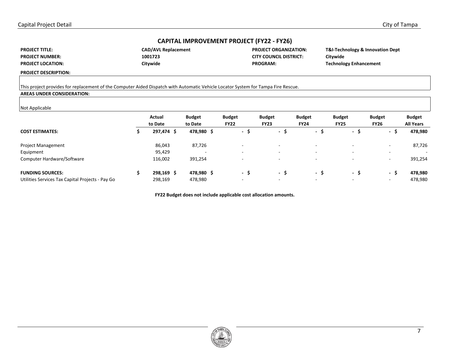| <b>PROJECT TITLE:</b>    |
|--------------------------|
| <b>PROJECT NUMBER:</b>   |
| <b>PROJECT LOCATION:</b> |

| <b>CAD/AVL Replacemer</b> |
|---------------------------|
| 1001723                   |
| Citywide                  |

nt **PROJECT ORGANIZATION: CITY COUNCIL DISTRICT:** PROGRAM:

**T&I-Technology & Innovation Dept Citywide Technology Enhancement** 

**PROJECT DESCRIPTION:** 

## This project provides for replacement of the Computer Aided Dispatch with Automatic Vehicle Locator System for Tampa Fire Rescue.

## **AREAS UNDER CONSIDERATION:**

#### Not Applicable

| Actual<br>to Date | <b>Budget</b><br>to Date | <b>Budget</b><br><b>FY22</b> | <b>Budget</b><br><b>FY23</b> |              |                                                                                                                                  | <b>Budget</b><br><b>FY25</b> | <b>Budget</b><br><b>FY26</b> | <b>Budget</b><br><b>All Years</b> |
|-------------------|--------------------------|------------------------------|------------------------------|--------------|----------------------------------------------------------------------------------------------------------------------------------|------------------------------|------------------------------|-----------------------------------|
| 297,474 \$        |                          |                              |                              |              | - S                                                                                                                              | - \$                         | - \$                         | 478,980                           |
| 86,043            | 87,726                   | $\overline{\phantom{a}}$     |                              |              | $\overline{a}$                                                                                                                   |                              | $\overline{\phantom{a}}$     | 87,726                            |
| 95,429            |                          | $\overline{\phantom{a}}$     |                              |              | $\overline{\phantom{a}}$                                                                                                         |                              | $\overline{\phantom{a}}$     | $\sim$                            |
| 116,002           | 391,254                  |                              |                              |              | $\overline{\phantom{a}}$                                                                                                         |                              | $\overline{\phantom{a}}$     | 391,254                           |
| 298,169 \$        |                          |                              |                              | د.           | - S                                                                                                                              | - S                          | - S                          | 478,980                           |
| 298,169           | 478,980                  | $\overline{\phantom{a}}$     |                              |              | $\overline{\phantom{0}}$                                                                                                         |                              | $\overline{\phantom{0}}$     | 478,980                           |
|                   |                          |                              | 478,980 \$<br>478,980 \$     | - \$<br>- \$ | $\sim$<br>$\overline{\phantom{0}}$<br>$\overline{\phantom{0}}$<br>$\overline{\phantom{0}}$<br>$\sim$<br>$\overline{\phantom{0}}$ | <b>Budget</b><br><b>FY24</b> |                              |                                   |

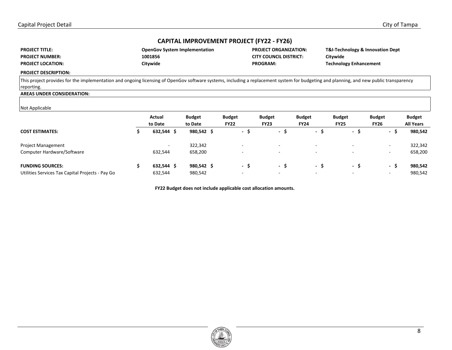| <b>PROJECT TITLE:</b>    | <b>OpenGov System Implementation</b> | <b>PROJECT ORGANIZATION:</b>  | T&I-Technology & Innovation Dept |
|--------------------------|--------------------------------------|-------------------------------|----------------------------------|
| <b>PROJECT NUMBER:</b>   | 1001856                              | <b>CITY COUNCIL DISTRICT:</b> | Citvwide                         |
| <b>PROJECT LOCATION:</b> | Citvwide                             | <b>PROGRAM:</b>               | <b>Technology Enhancement</b>    |

#### **PROJECT DESCRIPTION:**

This project provides for the implementation and ongoing licensing of OpenGov software systems, including a replacement system for budgeting and planning, and new public transparency reporting.

## **AREAS UNDER CONSIDERATION:**

#### Not Applicable

| .                                                |                          |               |                          |                          |                          |                          |                          |                  |
|--------------------------------------------------|--------------------------|---------------|--------------------------|--------------------------|--------------------------|--------------------------|--------------------------|------------------|
|                                                  | Actual                   | <b>Budget</b> | <b>Budget</b>            | <b>Budget</b>            | <b>Budget</b>            | <b>Budget</b>            | <b>Budget</b>            | <b>Budget</b>    |
|                                                  | to Date                  | to Date       | <b>FY22</b>              | <b>FY23</b>              | <b>FY24</b>              | <b>FY25</b>              | <b>FY26</b>              | <b>All Years</b> |
| <b>COST ESTIMATES:</b>                           | 632,544<br>-S            | 980,542 \$    | - \$                     | $\sim$<br>э              | - ১                      | - 5                      | .\$<br>$\sim$            | 980,542          |
| Project Management                               | $\overline{\phantom{a}}$ | 322,342       | $\overline{\phantom{a}}$ |                          | $\overline{\phantom{a}}$ | $\overline{\phantom{a}}$ | $\sim$                   | 322,342          |
| Computer Hardware/Software                       | 632,544                  | 658,200       | $\overline{\phantom{a}}$ | $\overline{\phantom{0}}$ | $\overline{\phantom{0}}$ | $\overline{\phantom{a}}$ | $\overline{\phantom{a}}$ | 658,200          |
| <b>FUNDING SOURCES:</b>                          | $632,544$ \$             | 980,542 \$    | - S                      | $\sim$<br><u>ь</u>       | - S                      | - \$                     | \$<br>$\sim$             | 980,542          |
| Utilities Services Tax Capital Projects - Pay Go | 632,544                  | 980,542       | $\overline{\phantom{0}}$ | $\overline{a}$           | $\overline{\phantom{0}}$ | $\overline{\phantom{0}}$ | $\overline{\phantom{a}}$ | 980,542          |

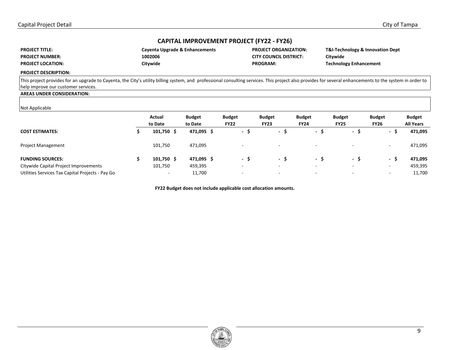| <b>PROJECT TITLE:</b>    | Cayenta Upgrade & Enhancements | <b>PROJECT ORGANIZATION:</b>  | T&I-Technology & Innovation Dept |
|--------------------------|--------------------------------|-------------------------------|----------------------------------|
| <b>PROJECT NUMBER:</b>   | 1002006                        | <b>CITY COUNCIL DISTRICT:</b> | Citywide                         |
| <b>PROJECT LOCATION:</b> | Citvwide                       | <b>PROGRAM:</b>               | <b>Technology Enhancement</b>    |

**PROJECT DESCRIPTION:** 

This project provides for an upgrade to Cayenta, the City's utility billing system, and professional consulting services. This project also provides for several enhancements to the system in order to help improve our customer services.

## **AREAS UNDER CONSIDERATION:**

#### Not Applicable

| . <b>.</b>                                       |                          |               |                          |                          |                          |                          |                          |                  |
|--------------------------------------------------|--------------------------|---------------|--------------------------|--------------------------|--------------------------|--------------------------|--------------------------|------------------|
|                                                  | Actual                   | <b>Budget</b> | <b>Budget</b>            | <b>Budget</b>            | <b>Budget</b>            | <b>Budget</b>            | <b>Budget</b>            | <b>Budget</b>    |
|                                                  | to Date                  | to Date       | <b>FY22</b>              | <b>FY23</b>              | <b>FY24</b>              | <b>FY25</b>              | <b>FY26</b>              | <b>All Years</b> |
| <b>COST ESTIMATES:</b>                           | 101,750 \$               | 471,095 \$    | - \$                     | $\sim$<br>5              | - ১                      | - 5                      | -S<br>$\sim$             | 471,095          |
| <b>Project Management</b>                        | 101,750                  | 471,095       | -                        | $\overline{\phantom{a}}$ | $\overline{\phantom{a}}$ |                          | $\sim$                   | 471,095          |
| <b>FUNDING SOURCES:</b>                          | 101,750 \$               | 471,095 \$    | - \$                     | 5<br>$\sim$              | - S                      | - \$                     | - \$                     | 471,095          |
| Citywide Capital Project Improvements            | 101,750                  | 459,395       | $\overline{\phantom{a}}$ | $\overline{\phantom{a}}$ | $\overline{\phantom{a}}$ | $\overline{\phantom{a}}$ | $\sim$                   | 459,395          |
| Utilities Services Tax Capital Projects - Pay Go | $\overline{\phantom{a}}$ | 11,700        | -                        | $\overline{\phantom{a}}$ | $\overline{\phantom{a}}$ |                          | $\overline{\phantom{a}}$ | 11,700           |

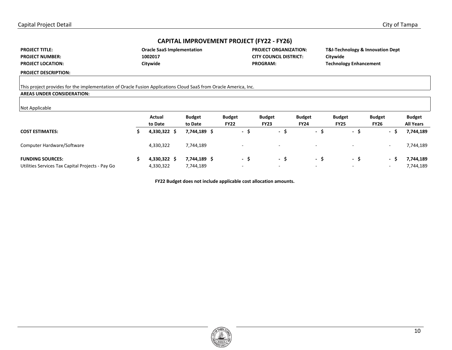| <b>PROJECT TITLE:</b>    |
|--------------------------|
| <b>PROJECT NUMBER:</b>   |
| <b>PROJECT LOCATION:</b> |

| <b>Oracle SaaS Implementation</b> |  |
|-----------------------------------|--|
| 1002017                           |  |
| Citywide                          |  |

**PROJECT ORGANIZATION: CITY COUNCIL DISTRICT:** PROGRAM:

**T&I-Technology & Innovation Dept Citywide Technology Enhancement** 

**PROJECT DESCRIPTION:** 

This project provides for the implementation of Oracle Fusion Applications Cloud SaaS from Oracle America, Inc.

## **AREAS UNDER CONSIDERATION:**

#### Not Applicable

| .                                                | Actual<br>to Date | <b>Budget</b><br>to Date | <b>Budget</b><br><b>FY22</b> | <b>Budget</b><br><b>FY23</b> | <b>Budget</b><br><b>FY24</b> | <b>Budget</b><br><b>FY25</b> | <b>Budget</b><br><b>FY26</b>  | <b>Budget</b><br><b>All Years</b> |
|--------------------------------------------------|-------------------|--------------------------|------------------------------|------------------------------|------------------------------|------------------------------|-------------------------------|-----------------------------------|
| <b>COST ESTIMATES:</b>                           | 4,330,322         | 7,744,189                | - S                          | $\sim$                       | $\sim$<br>- 2                | - ১                          | $\overline{\phantom{a}}$<br>ು | 7,744,189                         |
| Computer Hardware/Software                       | 4,330,322         | 7,744,189                | -                            | -                            |                              |                              | ۰                             | 7,744,189                         |
| <b>FUNDING SOURCES:</b>                          | 4,330,322         | 7,744,189                | - S                          | $\sim$                       | - 5                          | - S                          | $\overline{\phantom{a}}$      | 7,744,189                         |
| Utilities Services Tax Capital Projects - Pay Go | 4,330,322         | 7,744,189                | $\overline{\phantom{a}}$     | $\overline{\phantom{a}}$     | $\overline{\phantom{a}}$     |                              | ۰                             | 7,744,189                         |